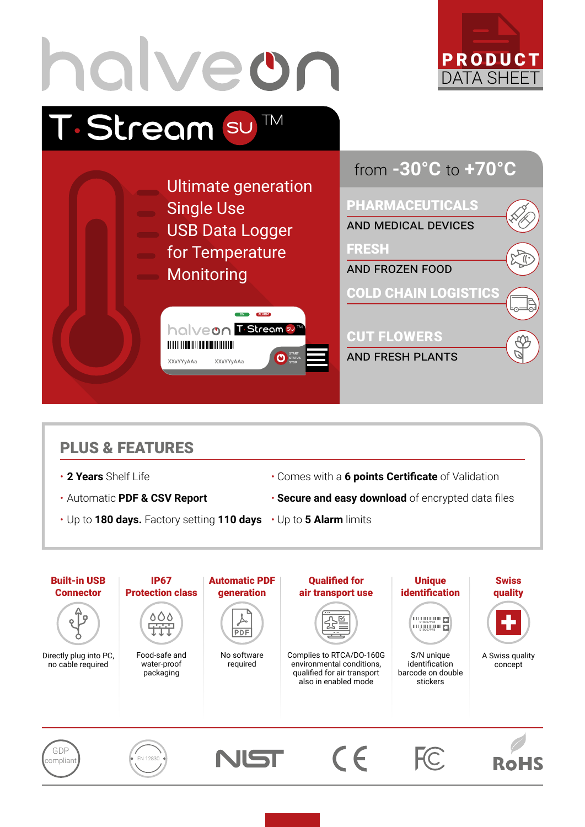

## PLUS & FEATURES

- 
- 
- 2 Years Shelf Life  **Comes with a 6 points Certificate** of Validation
- Automatic **PDF & CSV Report Secure and easy download** of encrypted data files
- Up to **180 days.** Factory setting **110 days** Up to **5 Alarm** limits